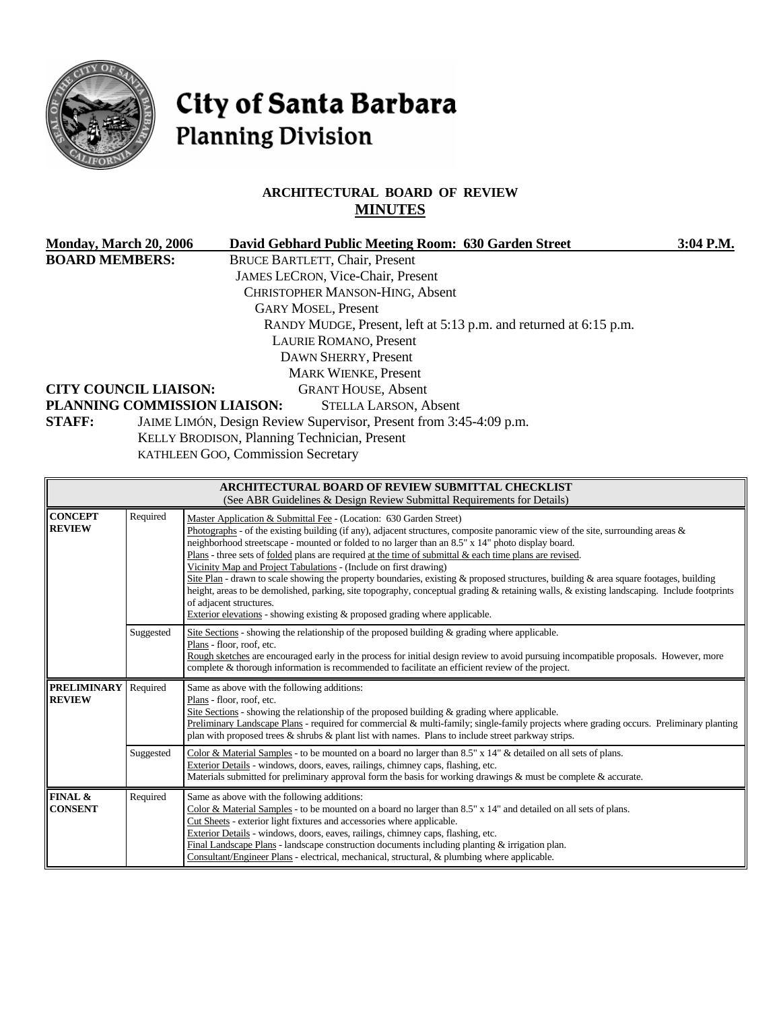

# City of Santa Barbara **Planning Division**

# **ARCHITECTURAL BOARD OF REVIEW MINUTES**

| <b>Monday, March 20, 2006</b>                                          |          | David Gebhard Public Meeting Room: 630 Garden Street                                                                                                                                                                                                                                                                                                                                                                                                                                                                                                                                                                                                                                                                                                                                                                                                                                                 | 3:04 P.M. |
|------------------------------------------------------------------------|----------|------------------------------------------------------------------------------------------------------------------------------------------------------------------------------------------------------------------------------------------------------------------------------------------------------------------------------------------------------------------------------------------------------------------------------------------------------------------------------------------------------------------------------------------------------------------------------------------------------------------------------------------------------------------------------------------------------------------------------------------------------------------------------------------------------------------------------------------------------------------------------------------------------|-----------|
| <b>BOARD MEMBERS:</b><br><b>CITY COUNCIL LIAISON:</b><br><b>STAFF:</b> |          | <b>BRUCE BARTLETT, Chair, Present</b><br><b>JAMES LECRON, Vice-Chair, Present</b><br><b>CHRISTOPHER MANSON-HING, Absent</b><br><b>GARY MOSEL, Present</b><br>RANDY MUDGE, Present, left at 5:13 p.m. and returned at 6:15 p.m.<br>LAURIE ROMANO, Present<br>DAWN SHERRY, Present<br><b>MARK WIENKE, Present</b><br><b>GRANT HOUSE, Absent</b><br>PLANNING COMMISSION LIAISON:<br><b>STELLA LARSON, Absent</b><br>JAIME LIMÓN, Design Review Supervisor, Present from 3:45-4:09 p.m.                                                                                                                                                                                                                                                                                                                                                                                                                  |           |
|                                                                        |          | KELLY BRODISON, Planning Technician, Present<br>KATHLEEN GOO, Commission Secretary                                                                                                                                                                                                                                                                                                                                                                                                                                                                                                                                                                                                                                                                                                                                                                                                                   |           |
|                                                                        |          | <b>ARCHITECTURAL BOARD OF REVIEW SUBMITTAL CHECKLIST</b><br>(See ABR Guidelines & Design Review Submittal Requirements for Details)                                                                                                                                                                                                                                                                                                                                                                                                                                                                                                                                                                                                                                                                                                                                                                  |           |
| <b>CONCEPT</b><br><b>REVIEW</b>                                        | Required | Master Application & Submittal Fee - (Location: 630 Garden Street)<br>Photographs - of the existing building (if any), adjacent structures, composite panoramic view of the site, surrounding areas $\&$<br>neighborhood streetscape - mounted or folded to no larger than an 8.5" x 14" photo display board.<br>Plans - three sets of folded plans are required at the time of submittal $\&$ each time plans are revised.<br>Vicinity Map and Project Tabulations - (Include on first drawing)<br>Site Plan - drawn to scale showing the property boundaries, existing & proposed structures, building & area square footages, building<br>height, areas to be demolished, parking, site topography, conceptual grading & retaining walls, & existing landscaping. Include footprints<br>of adjacent structures.<br>Exterior elevations - showing existing $\&$ proposed grading where applicable. |           |

|                                                                                                                             | of adjacent structures.<br>Exterior elevations - showing existing & proposed grading where applicable.<br>Site Sections - showing the relationship of the proposed building $\&$ grading where applicable.<br>Suggested |                                                                                                                                                                                                                                                                                                                                                                                                                                                                                                                                    |  |  |
|-----------------------------------------------------------------------------------------------------------------------------|-------------------------------------------------------------------------------------------------------------------------------------------------------------------------------------------------------------------------|------------------------------------------------------------------------------------------------------------------------------------------------------------------------------------------------------------------------------------------------------------------------------------------------------------------------------------------------------------------------------------------------------------------------------------------------------------------------------------------------------------------------------------|--|--|
|                                                                                                                             |                                                                                                                                                                                                                         | Plans - floor, roof, etc.<br>Rough sketches are encouraged early in the process for initial design review to avoid pursuing incompatible proposals. However, more<br>complete & thorough information is recommended to facilitate an efficient review of the project.                                                                                                                                                                                                                                                              |  |  |
| <b>PRELIMINARY</b><br>Required<br>Same as above with the following additions:<br><b>REVIEW</b><br>Plans - floor, roof, etc. |                                                                                                                                                                                                                         | Site Sections - showing the relationship of the proposed building $\&$ grading where applicable.<br>Preliminary Landscape Plans - required for commercial & multi-family; single-family projects where grading occurs. Preliminary planting<br>plan with proposed trees $\&$ shrubs $\&$ plant list with names. Plans to include street parkway strips.                                                                                                                                                                            |  |  |
|                                                                                                                             | Suggested                                                                                                                                                                                                               | Color & Material Samples - to be mounted on a board no larger than 8.5" x 14" & detailed on all sets of plans.<br>Exterior Details - windows, doors, eaves, railings, chimney caps, flashing, etc.<br>Materials submitted for preliminary approval form the basis for working drawings & must be complete & accurate.                                                                                                                                                                                                              |  |  |
| <b>FINAL &amp;</b><br><b>CONSENT</b>                                                                                        | Required                                                                                                                                                                                                                | Same as above with the following additions:<br>Color & Material Samples - to be mounted on a board no larger than 8.5" x 14" and detailed on all sets of plans.<br>Cut Sheets - exterior light fixtures and accessories where applicable.<br>Exterior Details - windows, doors, eaves, railings, chimney caps, flashing, etc.<br>Final Landscape Plans - landscape construction documents including planting $\&$ irrigation plan.<br>Consultant/Engineer Plans - electrical, mechanical, structural, & plumbing where applicable. |  |  |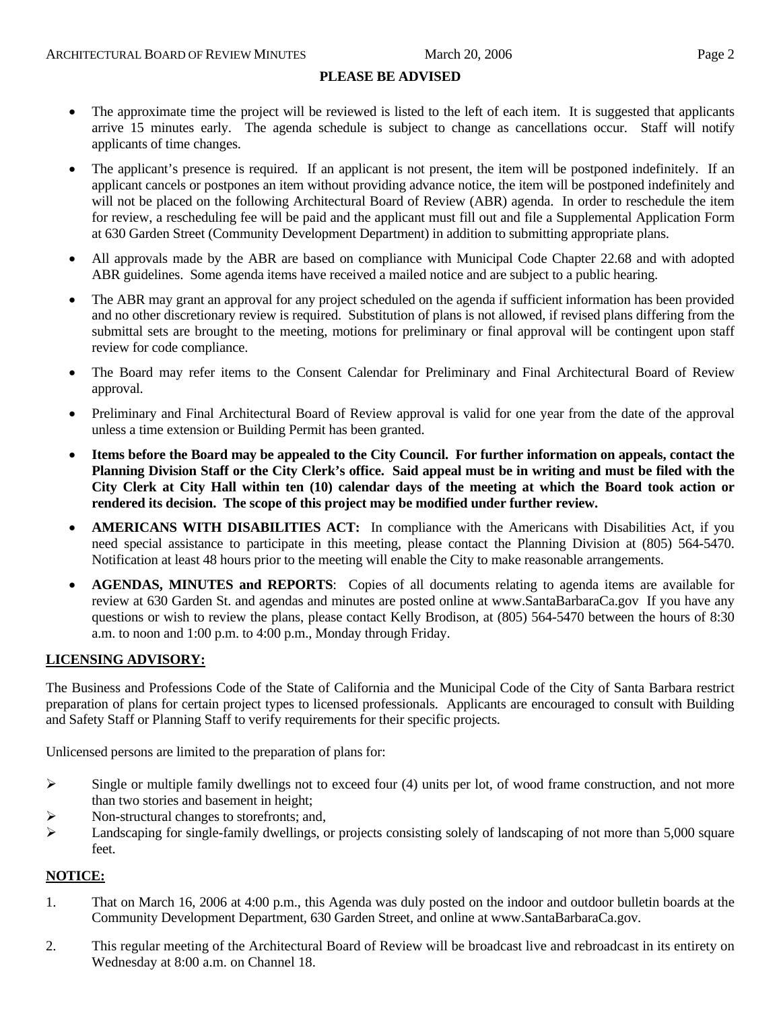#### **PLEASE BE ADVISED**

- The approximate time the project will be reviewed is listed to the left of each item. It is suggested that applicants arrive 15 minutes early. The agenda schedule is subject to change as cancellations occur. Staff will notify applicants of time changes.
- The applicant's presence is required. If an applicant is not present, the item will be postponed indefinitely. If an applicant cancels or postpones an item without providing advance notice, the item will be postponed indefinitely and will not be placed on the following Architectural Board of Review (ABR) agenda. In order to reschedule the item for review, a rescheduling fee will be paid and the applicant must fill out and file a Supplemental Application Form at 630 Garden Street (Community Development Department) in addition to submitting appropriate plans.
- All approvals made by the ABR are based on compliance with Municipal Code Chapter 22.68 and with adopted ABR guidelines. Some agenda items have received a mailed notice and are subject to a public hearing.
- The ABR may grant an approval for any project scheduled on the agenda if sufficient information has been provided and no other discretionary review is required. Substitution of plans is not allowed, if revised plans differing from the submittal sets are brought to the meeting, motions for preliminary or final approval will be contingent upon staff review for code compliance.
- The Board may refer items to the Consent Calendar for Preliminary and Final Architectural Board of Review approval.
- Preliminary and Final Architectural Board of Review approval is valid for one year from the date of the approval unless a time extension or Building Permit has been granted.
- **Items before the Board may be appealed to the City Council. For further information on appeals, contact the Planning Division Staff or the City Clerk's office. Said appeal must be in writing and must be filed with the City Clerk at City Hall within ten (10) calendar days of the meeting at which the Board took action or rendered its decision. The scope of this project may be modified under further review.**
- **AMERICANS WITH DISABILITIES ACT:** In compliance with the Americans with Disabilities Act, if you need special assistance to participate in this meeting, please contact the Planning Division at (805) 564-5470. Notification at least 48 hours prior to the meeting will enable the City to make reasonable arrangements.
- **AGENDAS, MINUTES and REPORTS**: Copies of all documents relating to agenda items are available for review at 630 Garden St. and agendas and minutes are posted online at [www.SantaBarbaraCa.gov](http://www.santabarbaraca.gov/) If you have any questions or wish to review the plans, please contact Kelly Brodison, at (805) 564-5470 between the hours of 8:30 a.m. to noon and 1:00 p.m. to 4:00 p.m., Monday through Friday.

# **LICENSING ADVISORY:**

The Business and Professions Code of the State of California and the Municipal Code of the City of Santa Barbara restrict preparation of plans for certain project types to licensed professionals. Applicants are encouraged to consult with Building and Safety Staff or Planning Staff to verify requirements for their specific projects.

Unlicensed persons are limited to the preparation of plans for:

- $\triangleright$  Single or multiple family dwellings not to exceed four (4) units per lot, of wood frame construction, and not more than two stories and basement in height;
- ¾ Non-structural changes to storefronts; and,
- $\blacktriangleright$  Landscaping for single-family dwellings, or projects consisting solely of landscaping of not more than 5,000 square feet.

# **NOTICE:**

- 1. That on March 16, 2006 at 4:00 p.m., this Agenda was duly posted on the indoor and outdoor bulletin boards at the Community Development Department, 630 Garden Street, and online at www.SantaBarbaraCa.gov.
- 2. This regular meeting of the Architectural Board of Review will be broadcast live and rebroadcast in its entirety on Wednesday at 8:00 a.m. on Channel 18.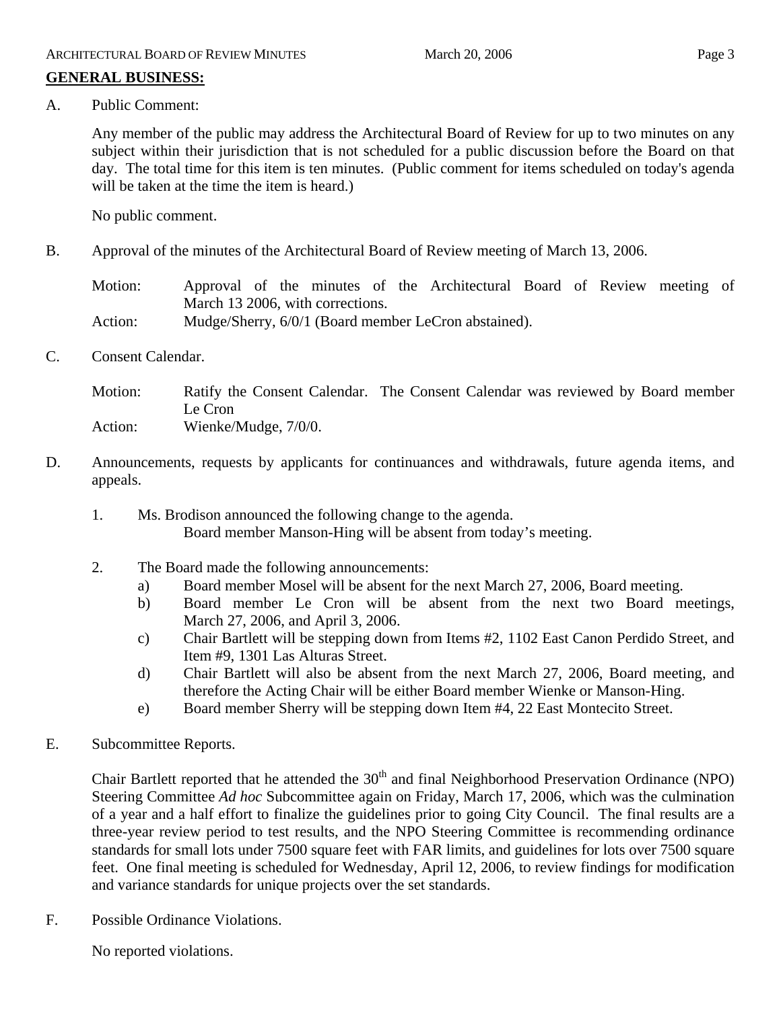# **GENERAL BUSINESS:**

A. Public Comment:

Any member of the public may address the Architectural Board of Review for up to two minutes on any subject within their jurisdiction that is not scheduled for a public discussion before the Board on that day. The total time for this item is ten minutes. (Public comment for items scheduled on today's agenda will be taken at the time the item is heard.)

No public comment.

B. Approval of the minutes of the Architectural Board of Review meeting of March 13, 2006.

Motion: Approval of the minutes of the Architectural Board of Review meeting of March 13 2006, with corrections.

- Action: Mudge/Sherry, 6/0/1 (Board member LeCron abstained).
- C. Consent Calendar.

Motion: Ratify the Consent Calendar. The Consent Calendar was reviewed by Board member Le Cron Action: Wienke/Mudge,  $7/0/0$ .

- D. Announcements, requests by applicants for continuances and withdrawals, future agenda items, and appeals.
	- 1. Ms. Brodison announced the following change to the agenda. Board member Manson-Hing will be absent from today's meeting.
	- 2. The Board made the following announcements:
		- a) Board member Mosel will be absent for the next March 27, 2006, Board meeting.
		- b) Board member Le Cron will be absent from the next two Board meetings, March 27, 2006, and April 3, 2006.
		- c) Chair Bartlett will be stepping down from Items #2, 1102 East Canon Perdido Street, and Item #9, 1301 Las Alturas Street.
		- d) Chair Bartlett will also be absent from the next March 27, 2006, Board meeting, and therefore the Acting Chair will be either Board member Wienke or Manson-Hing.
		- e) Board member Sherry will be stepping down Item #4, 22 East Montecito Street.
- E. Subcommittee Reports.

Chair Bartlett reported that he attended the 30<sup>th</sup> and final Neighborhood Preservation Ordinance (NPO) Steering Committee *Ad hoc* Subcommittee again on Friday, March 17, 2006, which was the culmination of a year and a half effort to finalize the guidelines prior to going City Council. The final results are a three-year review period to test results, and the NPO Steering Committee is recommending ordinance standards for small lots under 7500 square feet with FAR limits, and guidelines for lots over 7500 square feet. One final meeting is scheduled for Wednesday, April 12, 2006, to review findings for modification and variance standards for unique projects over the set standards.

F. Possible Ordinance Violations.

No reported violations.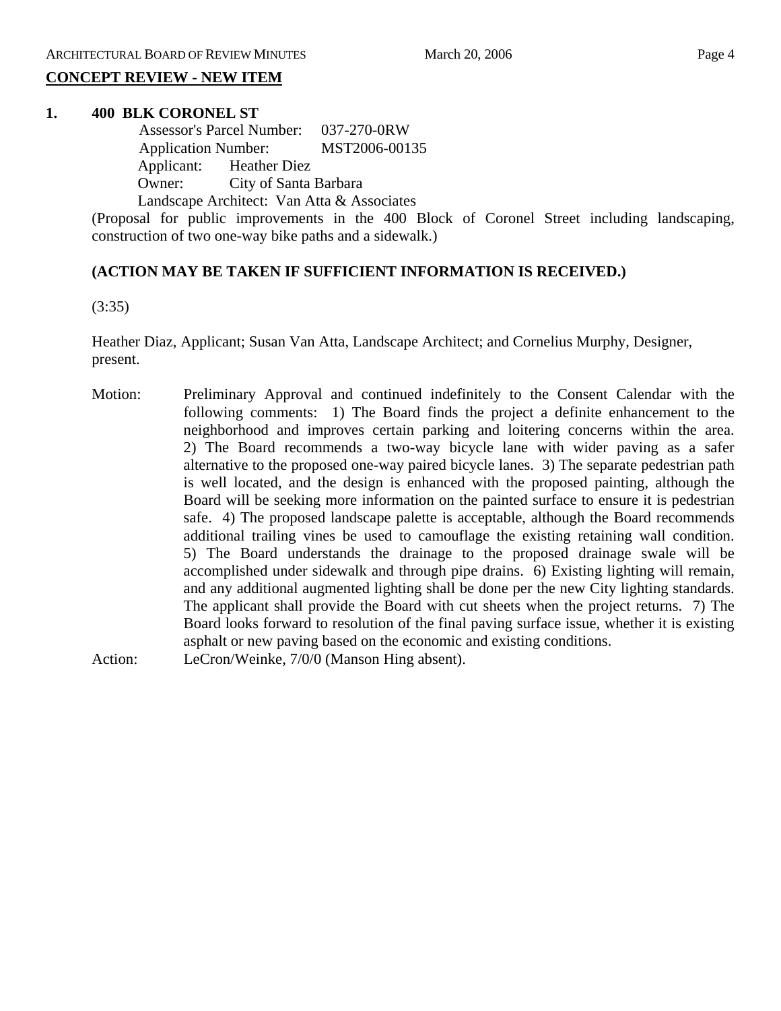# **CONCEPT REVIEW - NEW ITEM**

#### **1. 400 BLK CORONEL ST**

 Assessor's Parcel Number: 037-270-0RW Application Number: MST2006-00135 Applicant: Heather Diez Owner: City of Santa Barbara Landscape Architect: Van Atta & Associates

(Proposal for public improvements in the 400 Block of Coronel Street including landscaping, construction of two one-way bike paths and a sidewalk.)

# **(ACTION MAY BE TAKEN IF SUFFICIENT INFORMATION IS RECEIVED.)**

#### (3:35)

Heather Diaz, Applicant; Susan Van Atta, Landscape Architect; and Cornelius Murphy, Designer, present.

Motion: Preliminary Approval and continued indefinitely to the Consent Calendar with the following comments: 1) The Board finds the project a definite enhancement to the neighborhood and improves certain parking and loitering concerns within the area. 2) The Board recommends a two-way bicycle lane with wider paving as a safer alternative to the proposed one-way paired bicycle lanes. 3) The separate pedestrian path is well located, and the design is enhanced with the proposed painting, although the Board will be seeking more information on the painted surface to ensure it is pedestrian safe. 4) The proposed landscape palette is acceptable, although the Board recommends additional trailing vines be used to camouflage the existing retaining wall condition. 5) The Board understands the drainage to the proposed drainage swale will be accomplished under sidewalk and through pipe drains. 6) Existing lighting will remain, and any additional augmented lighting shall be done per the new City lighting standards. The applicant shall provide the Board with cut sheets when the project returns. 7) The Board looks forward to resolution of the final paving surface issue, whether it is existing asphalt or new paving based on the economic and existing conditions.

Action: LeCron/Weinke, 7/0/0 (Manson Hing absent).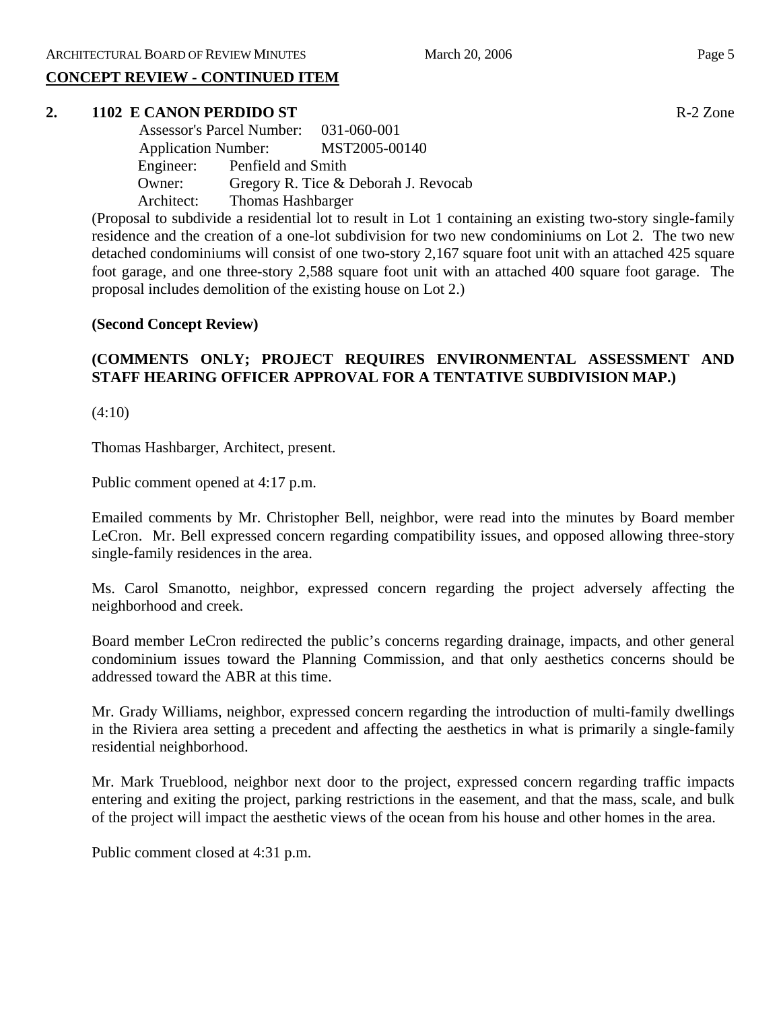# **CONCEPT REVIEW - CONTINUED ITEM**

#### **2. 1102 E CANON PERDIDO ST** R-2 Zone

|                            | <b>Assessor's Parcel Number:</b> | 031-060-001                          |
|----------------------------|----------------------------------|--------------------------------------|
| <b>Application Number:</b> |                                  | MST2005-00140                        |
| Engineer:                  | Penfield and Smith               |                                      |
| Owner:                     |                                  | Gregory R. Tice & Deborah J. Revocab |
| Architect:                 | Thomas Hashbarger                |                                      |

(Proposal to subdivide a residential lot to result in Lot 1 containing an existing two-story single-family residence and the creation of a one-lot subdivision for two new condominiums on Lot 2. The two new detached condominiums will consist of one two-story 2,167 square foot unit with an attached 425 square foot garage, and one three-story 2,588 square foot unit with an attached 400 square foot garage. The proposal includes demolition of the existing house on Lot 2.)

#### **(Second Concept Review)**

# **(COMMENTS ONLY; PROJECT REQUIRES ENVIRONMENTAL ASSESSMENT AND STAFF HEARING OFFICER APPROVAL FOR A TENTATIVE SUBDIVISION MAP.)**

(4:10)

Thomas Hashbarger, Architect, present.

Public comment opened at 4:17 p.m.

Emailed comments by Mr. Christopher Bell, neighbor, were read into the minutes by Board member LeCron. Mr. Bell expressed concern regarding compatibility issues, and opposed allowing three-story single-family residences in the area.

Ms. Carol Smanotto, neighbor, expressed concern regarding the project adversely affecting the neighborhood and creek.

Board member LeCron redirected the public's concerns regarding drainage, impacts, and other general condominium issues toward the Planning Commission, and that only aesthetics concerns should be addressed toward the ABR at this time.

Mr. Grady Williams, neighbor, expressed concern regarding the introduction of multi-family dwellings in the Riviera area setting a precedent and affecting the aesthetics in what is primarily a single-family residential neighborhood.

Mr. Mark Trueblood, neighbor next door to the project, expressed concern regarding traffic impacts entering and exiting the project, parking restrictions in the easement, and that the mass, scale, and bulk of the project will impact the aesthetic views of the ocean from his house and other homes in the area.

Public comment closed at 4:31 p.m.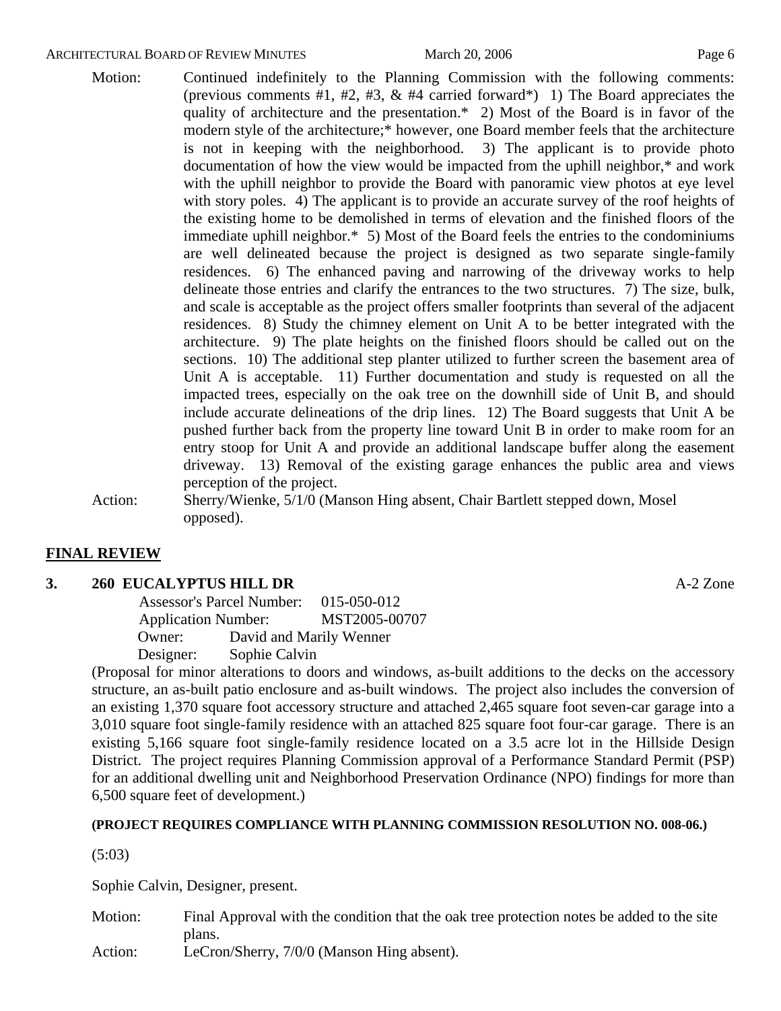#### ARCHITECTURAL BOARD OF REVIEW MINUTES March 20, 2006 March 20, 2006

Motion: Continued indefinitely to the Planning Commission with the following comments: (previous comments #1, #2, #3, & #4 carried forward\*) 1) The Board appreciates the quality of architecture and the presentation.\* 2) Most of the Board is in favor of the modern style of the architecture;\* however, one Board member feels that the architecture is not in keeping with the neighborhood. 3) The applicant is to provide photo documentation of how the view would be impacted from the uphill neighbor,\* and work with the uphill neighbor to provide the Board with panoramic view photos at eye level with story poles. 4) The applicant is to provide an accurate survey of the roof heights of the existing home to be demolished in terms of elevation and the finished floors of the immediate uphill neighbor.\* 5) Most of the Board feels the entries to the condominiums are well delineated because the project is designed as two separate single-family residences. 6) The enhanced paving and narrowing of the driveway works to help delineate those entries and clarify the entrances to the two structures. 7) The size, bulk, and scale is acceptable as the project offers smaller footprints than several of the adjacent residences. 8) Study the chimney element on Unit A to be better integrated with the architecture. 9) The plate heights on the finished floors should be called out on the sections. 10) The additional step planter utilized to further screen the basement area of Unit A is acceptable. 11) Further documentation and study is requested on all the impacted trees, especially on the oak tree on the downhill side of Unit B, and should include accurate delineations of the drip lines. 12) The Board suggests that Unit A be pushed further back from the property line toward Unit B in order to make room for an entry stoop for Unit A and provide an additional landscape buffer along the easement driveway. 13) Removal of the existing garage enhances the public area and views perception of the project.

Action: Sherry/Wienke, 5/1/0 (Manson Hing absent, Chair Bartlett stepped down, Mosel opposed).

# **FINAL REVIEW**

#### **3. 260 EUCALYPTUS HILL DR** A-2 Zone

 Assessor's Parcel Number: 015-050-012 Application Number: MST2005-00707 Owner: David and Marily Wenner Designer: Sophie Calvin

(Proposal for minor alterations to doors and windows, as-built additions to the decks on the accessory structure, an as-built patio enclosure and as-built windows. The project also includes the conversion of an existing 1,370 square foot accessory structure and attached 2,465 square foot seven-car garage into a 3,010 square foot single-family residence with an attached 825 square foot four-car garage. There is an existing 5,166 square foot single-family residence located on a 3.5 acre lot in the Hillside Design District. The project requires Planning Commission approval of a Performance Standard Permit (PSP) for an additional dwelling unit and Neighborhood Preservation Ordinance (NPO) findings for more than 6,500 square feet of development.)

#### **(PROJECT REQUIRES COMPLIANCE WITH PLANNING COMMISSION RESOLUTION NO. 008-06.)**

(5:03)

Sophie Calvin, Designer, present.

- Motion: Final Approval with the condition that the oak tree protection notes be added to the site plans.
- Action: LeCron/Sherry, 7/0/0 (Manson Hing absent).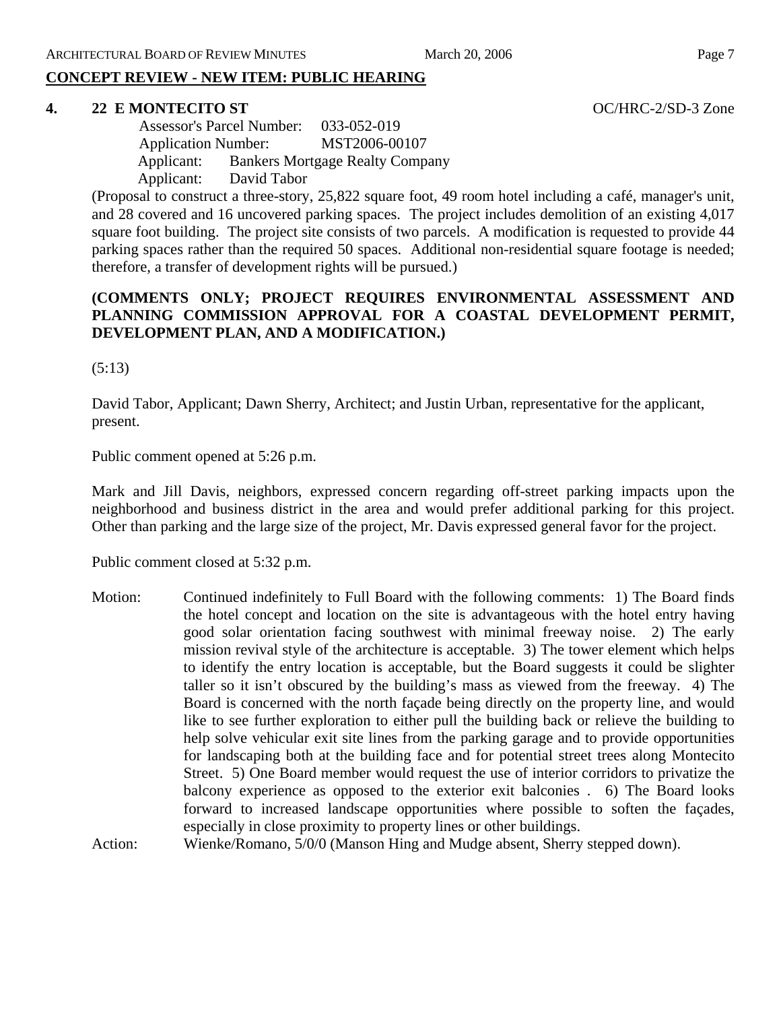# **CONCEPT REVIEW - NEW ITEM: PUBLIC HEARING**

# **4. 22 E MONTECITO ST** OC/HRC-2/SD-3 Zone

 Assessor's Parcel Number: 033-052-019 Application Number: MST2006-00107 Applicant: Bankers Mortgage Realty Company Applicant: David Tabor

(Proposal to construct a three-story, 25,822 square foot, 49 room hotel including a café, manager's unit, and 28 covered and 16 uncovered parking spaces. The project includes demolition of an existing 4,017 square foot building. The project site consists of two parcels. A modification is requested to provide 44 parking spaces rather than the required 50 spaces. Additional non-residential square footage is needed; therefore, a transfer of development rights will be pursued.)

# **(COMMENTS ONLY; PROJECT REQUIRES ENVIRONMENTAL ASSESSMENT AND PLANNING COMMISSION APPROVAL FOR A COASTAL DEVELOPMENT PERMIT, DEVELOPMENT PLAN, AND A MODIFICATION.)**

(5:13)

David Tabor, Applicant; Dawn Sherry, Architect; and Justin Urban, representative for the applicant, present.

Public comment opened at 5:26 p.m.

Mark and Jill Davis, neighbors, expressed concern regarding off-street parking impacts upon the neighborhood and business district in the area and would prefer additional parking for this project. Other than parking and the large size of the project, Mr. Davis expressed general favor for the project.

Public comment closed at 5:32 p.m.

Motion: Continued indefinitely to Full Board with the following comments: 1) The Board finds the hotel concept and location on the site is advantageous with the hotel entry having good solar orientation facing southwest with minimal freeway noise. 2) The early mission revival style of the architecture is acceptable. 3) The tower element which helps to identify the entry location is acceptable, but the Board suggests it could be slighter taller so it isn't obscured by the building's mass as viewed from the freeway. 4) The Board is concerned with the north façade being directly on the property line, and would like to see further exploration to either pull the building back or relieve the building to help solve vehicular exit site lines from the parking garage and to provide opportunities for landscaping both at the building face and for potential street trees along Montecito Street. 5) One Board member would request the use of interior corridors to privatize the balcony experience as opposed to the exterior exit balconies . 6) The Board looks forward to increased landscape opportunities where possible to soften the façades, especially in close proximity to property lines or other buildings.

Action: Wienke/Romano, 5/0/0 (Manson Hing and Mudge absent, Sherry stepped down).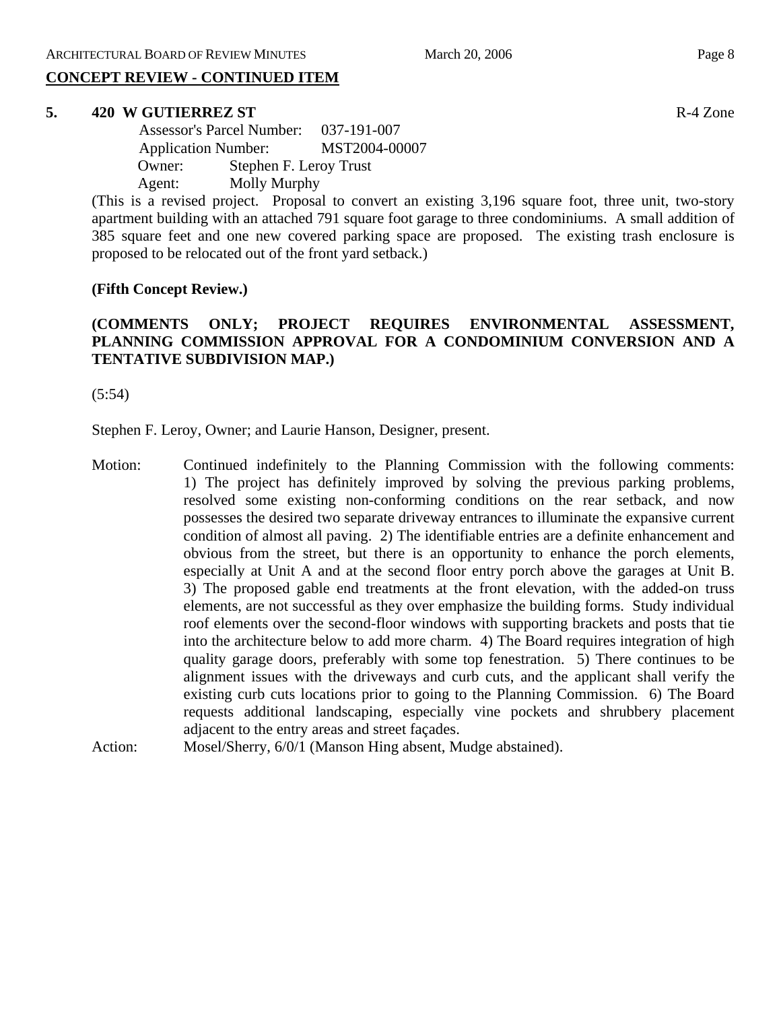# **CONCEPT REVIEW - CONTINUED ITEM**

# **5. 420 W GUTIERREZ ST** R-4 Zone

 Assessor's Parcel Number: 037-191-007 Application Number: MST2004-00007 Owner: Stephen F. Leroy Trust Agent: Molly Murphy

(This is a revised project. Proposal to convert an existing 3,196 square foot, three unit, two-story apartment building with an attached 791 square foot garage to three condominiums. A small addition of 385 square feet and one new covered parking space are proposed. The existing trash enclosure is proposed to be relocated out of the front yard setback.)

# **(Fifth Concept Review.)**

# **(COMMENTS ONLY; PROJECT REQUIRES ENVIRONMENTAL ASSESSMENT, PLANNING COMMISSION APPROVAL FOR A CONDOMINIUM CONVERSION AND A TENTATIVE SUBDIVISION MAP.)**

(5:54)

Stephen F. Leroy, Owner; and Laurie Hanson, Designer, present.

- Motion: Continued indefinitely to the Planning Commission with the following comments: 1) The project has definitely improved by solving the previous parking problems, resolved some existing non-conforming conditions on the rear setback, and now possesses the desired two separate driveway entrances to illuminate the expansive current condition of almost all paving. 2) The identifiable entries are a definite enhancement and obvious from the street, but there is an opportunity to enhance the porch elements, especially at Unit A and at the second floor entry porch above the garages at Unit B. 3) The proposed gable end treatments at the front elevation, with the added-on truss elements, are not successful as they over emphasize the building forms. Study individual roof elements over the second-floor windows with supporting brackets and posts that tie into the architecture below to add more charm. 4) The Board requires integration of high quality garage doors, preferably with some top fenestration. 5) There continues to be alignment issues with the driveways and curb cuts, and the applicant shall verify the existing curb cuts locations prior to going to the Planning Commission. 6) The Board requests additional landscaping, especially vine pockets and shrubbery placement adjacent to the entry areas and street façades.
- Action: Mosel/Sherry, 6/0/1 (Manson Hing absent, Mudge abstained).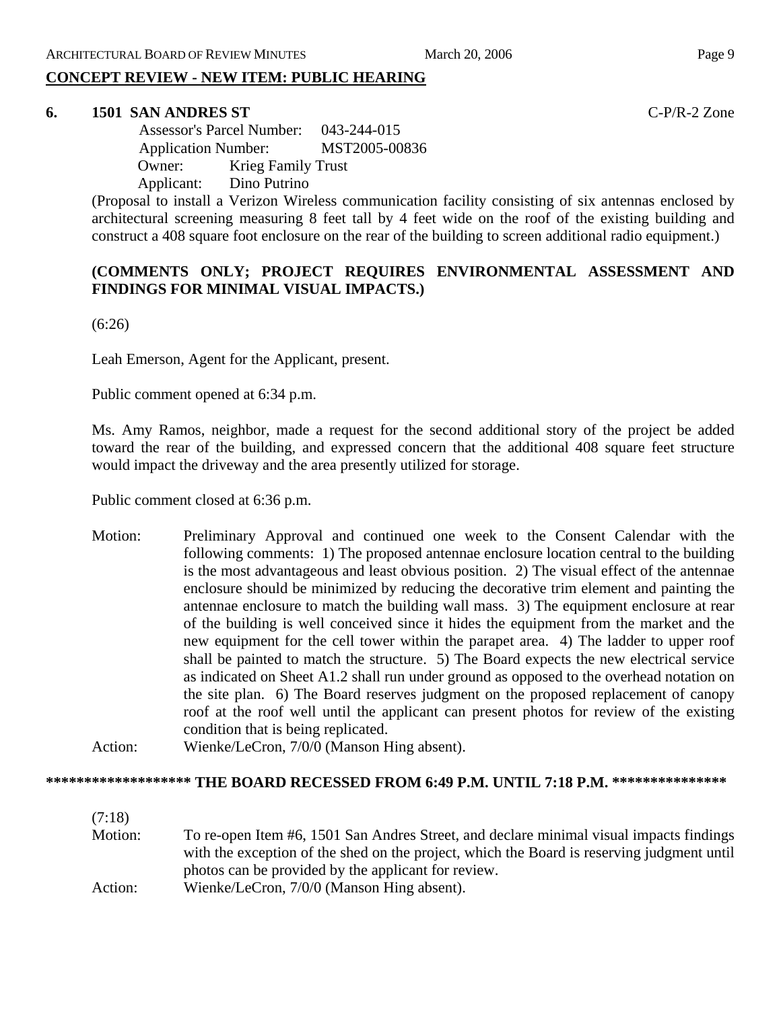# **CONCEPT REVIEW - NEW ITEM: PUBLIC HEARING**

#### **6. 1501 SAN ANDRES ST** C-P/R-2 Zone

 Assessor's Parcel Number: 043-244-015 Application Number: MST2005-00836 Owner: Krieg Family Trust Applicant: Dino Putrino

(Proposal to install a Verizon Wireless communication facility consisting of six antennas enclosed by architectural screening measuring 8 feet tall by 4 feet wide on the roof of the existing building and construct a 408 square foot enclosure on the rear of the building to screen additional radio equipment.)

# **(COMMENTS ONLY; PROJECT REQUIRES ENVIRONMENTAL ASSESSMENT AND FINDINGS FOR MINIMAL VISUAL IMPACTS.)**

(6:26)

Leah Emerson, Agent for the Applicant, present.

Public comment opened at 6:34 p.m.

Ms. Amy Ramos, neighbor, made a request for the second additional story of the project be added toward the rear of the building, and expressed concern that the additional 408 square feet structure would impact the driveway and the area presently utilized for storage.

Public comment closed at 6:36 p.m.

- Motion: Preliminary Approval and continued one week to the Consent Calendar with the following comments: 1) The proposed antennae enclosure location central to the building is the most advantageous and least obvious position. 2) The visual effect of the antennae enclosure should be minimized by reducing the decorative trim element and painting the antennae enclosure to match the building wall mass. 3) The equipment enclosure at rear of the building is well conceived since it hides the equipment from the market and the new equipment for the cell tower within the parapet area. 4) The ladder to upper roof shall be painted to match the structure. 5) The Board expects the new electrical service as indicated on Sheet A1.2 shall run under ground as opposed to the overhead notation on the site plan. 6) The Board reserves judgment on the proposed replacement of canopy roof at the roof well until the applicant can present photos for review of the existing condition that is being replicated.
- Action: Wienke/LeCron, 7/0/0 (Manson Hing absent).

#### **\*\*\*\*\*\*\*\*\*\*\*\*\*\*\*\*\*\*\* THE BOARD RECESSED FROM 6:49 P.M. UNTIL 7:18 P.M. \*\*\*\*\*\*\*\*\*\*\*\*\*\*\***

| (7:18)  |                                                                                            |
|---------|--------------------------------------------------------------------------------------------|
| Motion: | To re-open Item #6, 1501 San Andres Street, and declare minimal visual impacts findings    |
|         | with the exception of the shed on the project, which the Board is reserving judgment until |
|         | photos can be provided by the applicant for review.                                        |
| Action: | Wienke/LeCron, 7/0/0 (Manson Hing absent).                                                 |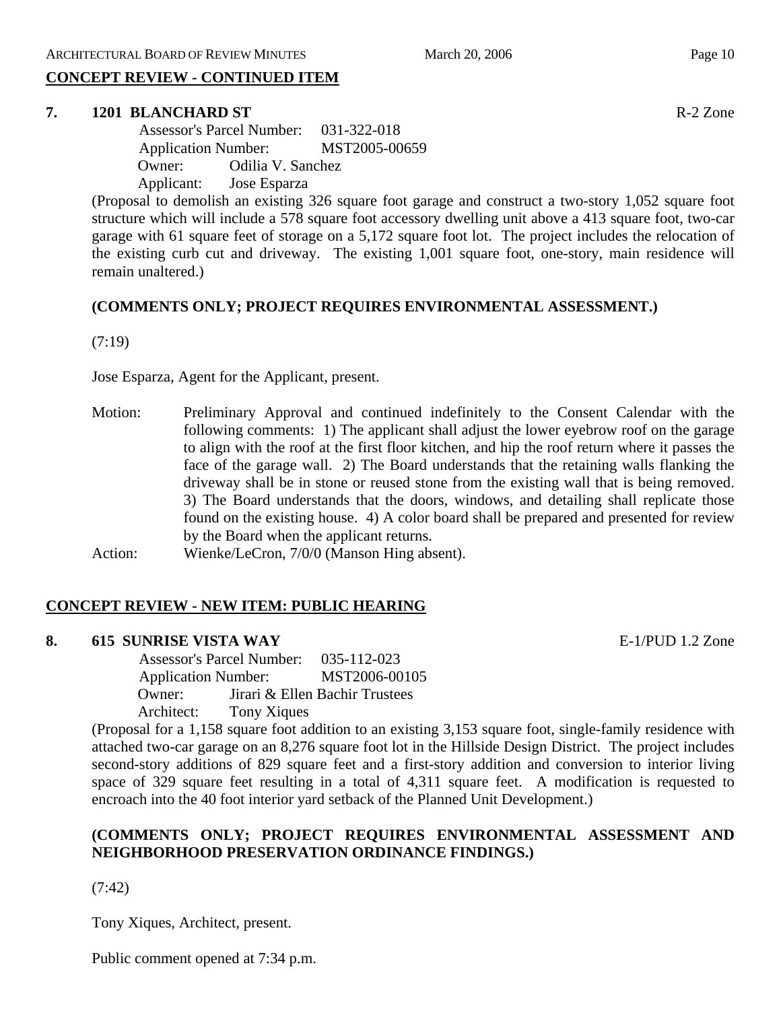# **CONCEPT REVIEW - CONTINUED ITEM**

#### **7. 1201 BLANCHARD ST** R-2 Zone

 Assessor's Parcel Number: 031-322-018 Application Number: MST2005-00659 Owner: Odilia V. Sanchez Applicant: Jose Esparza

(Proposal to demolish an existing 326 square foot garage and construct a two-story 1,052 square foot structure which will include a 578 square foot accessory dwelling unit above a 413 square foot, two-car garage with 61 square feet of storage on a 5,172 square foot lot. The project includes the relocation of the existing curb cut and driveway. The existing 1,001 square foot, one-story, main residence will remain unaltered.)

# **(COMMENTS ONLY; PROJECT REQUIRES ENVIRONMENTAL ASSESSMENT.)**

(7:19)

Jose Esparza, Agent for the Applicant, present.

Motion: Preliminary Approval and continued indefinitely to the Consent Calendar with the following comments: 1) The applicant shall adjust the lower eyebrow roof on the garage to align with the roof at the first floor kitchen, and hip the roof return where it passes the face of the garage wall. 2) The Board understands that the retaining walls flanking the driveway shall be in stone or reused stone from the existing wall that is being removed. 3) The Board understands that the doors, windows, and detailing shall replicate those found on the existing house. 4) A color board shall be prepared and presented for review by the Board when the applicant returns.

Action: Wienke/LeCron, 7/0/0 (Manson Hing absent).

# **CONCEPT REVIEW - NEW ITEM: PUBLIC HEARING**

# **8. 615 SUNRISE VISTA WAY** E-1/PUD 1.2 Zone

 Assessor's Parcel Number: 035-112-023 Application Number: MST2006-00105 Owner: Jirari & Ellen Bachir Trustees Architect: Tony Xiques

(Proposal for a 1,158 square foot addition to an existing 3,153 square foot, single-family residence with attached two-car garage on an 8,276 square foot lot in the Hillside Design District. The project includes second-story additions of 829 square feet and a first-story addition and conversion to interior living space of 329 square feet resulting in a total of 4,311 square feet. A modification is requested to encroach into the 40 foot interior yard setback of the Planned Unit Development.)

# **(COMMENTS ONLY; PROJECT REQUIRES ENVIRONMENTAL ASSESSMENT AND NEIGHBORHOOD PRESERVATION ORDINANCE FINDINGS.)**

(7:42)

Tony Xiques, Architect, present.

Public comment opened at 7:34 p.m.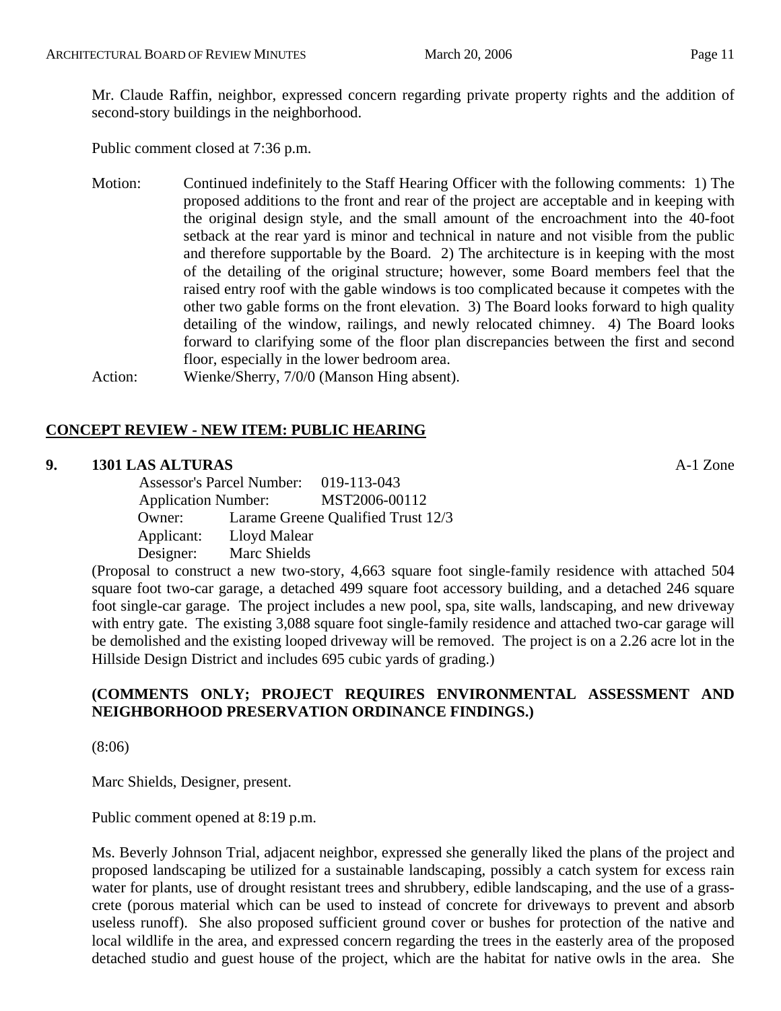Public comment closed at 7:36 p.m.

- Motion: Continued indefinitely to the Staff Hearing Officer with the following comments: 1) The proposed additions to the front and rear of the project are acceptable and in keeping with the original design style, and the small amount of the encroachment into the 40-foot setback at the rear yard is minor and technical in nature and not visible from the public and therefore supportable by the Board. 2) The architecture is in keeping with the most of the detailing of the original structure; however, some Board members feel that the raised entry roof with the gable windows is too complicated because it competes with the other two gable forms on the front elevation. 3) The Board looks forward to high quality detailing of the window, railings, and newly relocated chimney. 4) The Board looks forward to clarifying some of the floor plan discrepancies between the first and second floor, especially in the lower bedroom area.
- Action: Wienke/Sherry, 7/0/0 (Manson Hing absent).

# **CONCEPT REVIEW - NEW ITEM: PUBLIC HEARING**

# **9. 1301 LAS ALTURAS** A-1 Zone

 Assessor's Parcel Number: 019-113-043 Application Number: MST2006-00112 Owner: Larame Greene Qualified Trust 12/3 Applicant: Lloyd Malear Designer: Marc Shields

(Proposal to construct a new two-story, 4,663 square foot single-family residence with attached 504 square foot two-car garage, a detached 499 square foot accessory building, and a detached 246 square foot single-car garage. The project includes a new pool, spa, site walls, landscaping, and new driveway with entry gate. The existing 3,088 square foot single-family residence and attached two-car garage will be demolished and the existing looped driveway will be removed. The project is on a 2.26 acre lot in the Hillside Design District and includes 695 cubic yards of grading.)

# **(COMMENTS ONLY; PROJECT REQUIRES ENVIRONMENTAL ASSESSMENT AND NEIGHBORHOOD PRESERVATION ORDINANCE FINDINGS.)**

(8:06)

Marc Shields, Designer, present.

Public comment opened at 8:19 p.m.

Ms. Beverly Johnson Trial, adjacent neighbor, expressed she generally liked the plans of the project and proposed landscaping be utilized for a sustainable landscaping, possibly a catch system for excess rain water for plants, use of drought resistant trees and shrubbery, edible landscaping, and the use of a grasscrete (porous material which can be used to instead of concrete for driveways to prevent and absorb useless runoff). She also proposed sufficient ground cover or bushes for protection of the native and local wildlife in the area, and expressed concern regarding the trees in the easterly area of the proposed detached studio and guest house of the project, which are the habitat for native owls in the area. She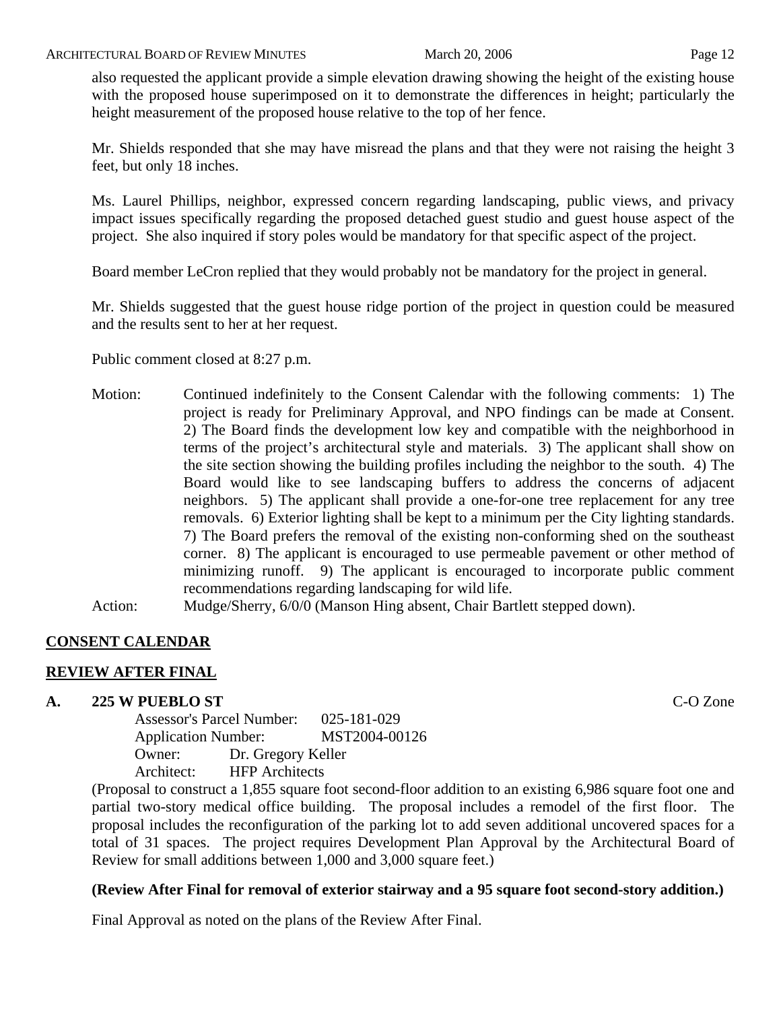also requested the applicant provide a simple elevation drawing showing the height of the existing house with the proposed house superimposed on it to demonstrate the differences in height; particularly the height measurement of the proposed house relative to the top of her fence.

Mr. Shields responded that she may have misread the plans and that they were not raising the height 3 feet, but only 18 inches.

Ms. Laurel Phillips, neighbor, expressed concern regarding landscaping, public views, and privacy impact issues specifically regarding the proposed detached guest studio and guest house aspect of the project. She also inquired if story poles would be mandatory for that specific aspect of the project.

Board member LeCron replied that they would probably not be mandatory for the project in general.

Mr. Shields suggested that the guest house ridge portion of the project in question could be measured and the results sent to her at her request.

Public comment closed at 8:27 p.m.

- Motion: Continued indefinitely to the Consent Calendar with the following comments: 1) The project is ready for Preliminary Approval, and NPO findings can be made at Consent. 2) The Board finds the development low key and compatible with the neighborhood in terms of the project's architectural style and materials. 3) The applicant shall show on the site section showing the building profiles including the neighbor to the south. 4) The Board would like to see landscaping buffers to address the concerns of adjacent neighbors. 5) The applicant shall provide a one-for-one tree replacement for any tree removals. 6) Exterior lighting shall be kept to a minimum per the City lighting standards. 7) The Board prefers the removal of the existing non-conforming shed on the southeast corner. 8) The applicant is encouraged to use permeable pavement or other method of minimizing runoff. 9) The applicant is encouraged to incorporate public comment recommendations regarding landscaping for wild life.
- Action: Mudge/Sherry, 6/0/0 (Manson Hing absent, Chair Bartlett stepped down).

# **CONSENT CALENDAR**

# **REVIEW AFTER FINAL**

# **A. 225 W PUEBLO ST** C-O Zone

Assessor's Parcel Number: 025-181-029 Application Number: MST2004-00126 Owner: Dr. Gregory Keller Architect: HFP Architects

(Proposal to construct a 1,855 square foot second-floor addition to an existing 6,986 square foot one and partial two-story medical office building. The proposal includes a remodel of the first floor. The proposal includes the reconfiguration of the parking lot to add seven additional uncovered spaces for a total of 31 spaces. The project requires Development Plan Approval by the Architectural Board of Review for small additions between 1,000 and 3,000 square feet.)

# **(Review After Final for removal of exterior stairway and a 95 square foot second-story addition.)**

Final Approval as noted on the plans of the Review After Final.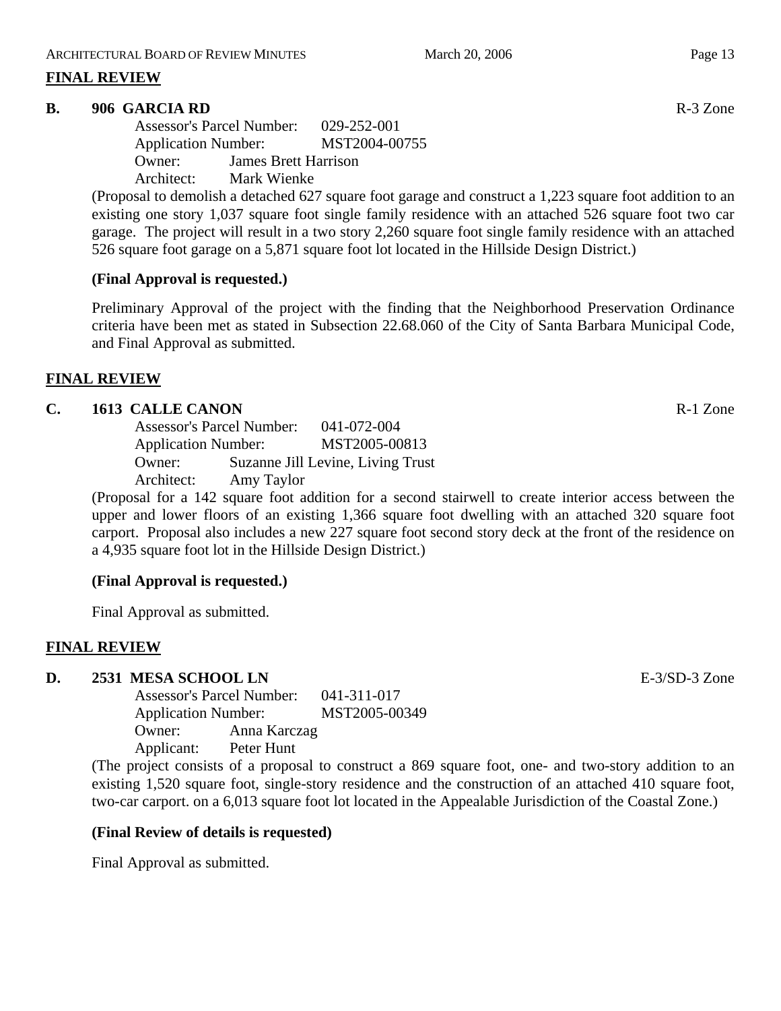# **FINAL REVIEW**

# **B. 906 GARCIA RD R-3 Zone**

Assessor's Parcel Number: 029-252-001 Application Number: MST2004-00755 Owner: James Brett Harrison Architect: Mark Wienke

(Proposal to demolish a detached 627 square foot garage and construct a 1,223 square foot addition to an existing one story 1,037 square foot single family residence with an attached 526 square foot two car garage. The project will result in a two story 2,260 square foot single family residence with an attached 526 square foot garage on a 5,871 square foot lot located in the Hillside Design District.)

# **(Final Approval is requested.)**

Preliminary Approval of the project with the finding that the Neighborhood Preservation Ordinance criteria have been met as stated in Subsection 22.68.060 of the City of Santa Barbara Municipal Code, and Final Approval as submitted.

# **FINAL REVIEW**

# **C. 1613 CALLE CANON** R-1 Zone

Assessor's Parcel Number: 041-072-004 Application Number: MST2005-00813 Owner: Suzanne Jill Levine, Living Trust Architect: Amy Taylor

(Proposal for a 142 square foot addition for a second stairwell to create interior access between the upper and lower floors of an existing 1,366 square foot dwelling with an attached 320 square foot carport. Proposal also includes a new 227 square foot second story deck at the front of the residence on a 4,935 square foot lot in the Hillside Design District.)

# **(Final Approval is requested.)**

Final Approval as submitted.

# **FINAL REVIEW**

# **D. 2531 MESA SCHOOL LN E-3/SD-3 Zone**

Assessor's Parcel Number: 041-311-017 Application Number: MST2005-00349 Owner: Anna Karczag Applicant: Peter Hunt

(The project consists of a proposal to construct a 869 square foot, one- and two-story addition to an existing 1,520 square foot, single-story residence and the construction of an attached 410 square foot, two-car carport. on a 6,013 square foot lot located in the Appealable Jurisdiction of the Coastal Zone.)

# **(Final Review of details is requested)**

Final Approval as submitted.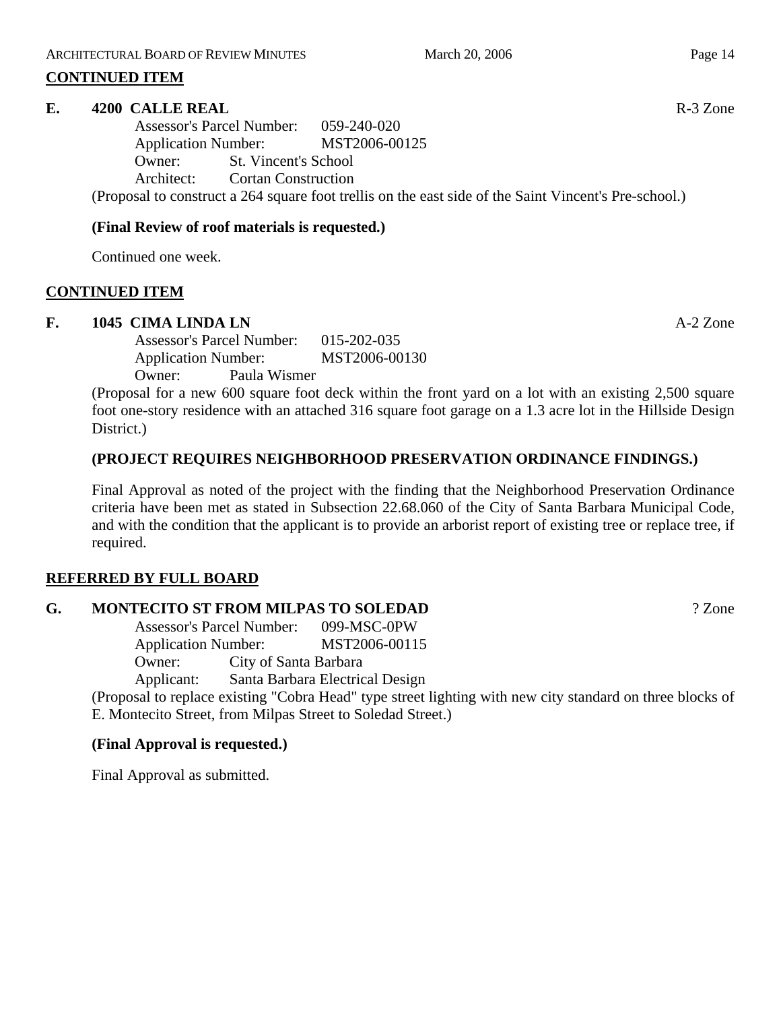# **CONTINUED ITEM**

# **E. 4200 CALLE REAL** R-3 Zone

Assessor's Parcel Number: 059-240-020 Application Number: MST2006-00125 Owner: St. Vincent's School Architect: Cortan Construction

(Proposal to construct a 264 square foot trellis on the east side of the Saint Vincent's Pre-school.)

# **(Final Review of roof materials is requested.)**

Continued one week.

# **CONTINUED ITEM**

#### **F. 1045 CIMA LINDA LN** A-2 Zone

Assessor's Parcel Number: 015-202-035 Application Number: MST2006-00130

Owner: Paula Wismer

(Proposal for a new 600 square foot deck within the front yard on a lot with an existing 2,500 square foot one-story residence with an attached 316 square foot garage on a 1.3 acre lot in the Hillside Design District.)

# **(PROJECT REQUIRES NEIGHBORHOOD PRESERVATION ORDINANCE FINDINGS.)**

Final Approval as noted of the project with the finding that the Neighborhood Preservation Ordinance criteria have been met as stated in Subsection 22.68.060 of the City of Santa Barbara Municipal Code, and with the condition that the applicant is to provide an arborist report of existing tree or replace tree, if required.

# **REFERRED BY FULL BOARD**

# **G. MONTECITO ST FROM MILPAS TO SOLEDAD** ? Zone

Assessor's Parcel Number: 099-MSC-0PW Application Number: MST2006-00115 Owner: City of Santa Barbara Applicant: Santa Barbara Electrical Design

(Proposal to replace existing "Cobra Head" type street lighting with new city standard on three blocks of E. Montecito Street, from Milpas Street to Soledad Street.)

# **(Final Approval is requested.)**

Final Approval as submitted.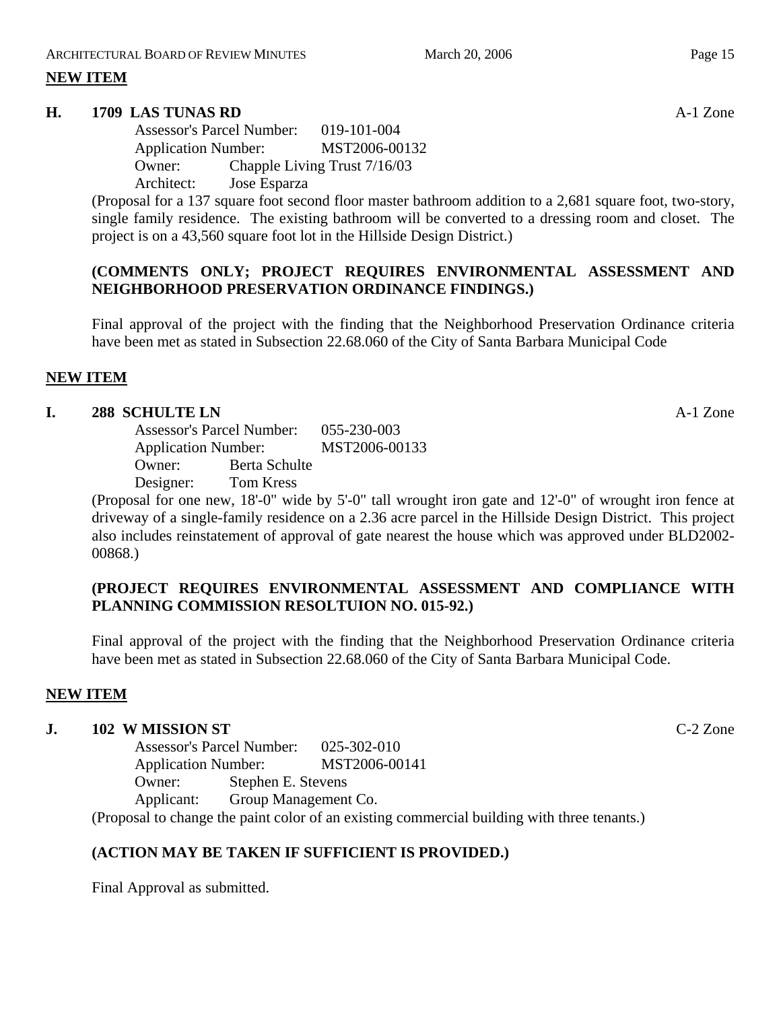# **NEW ITEM**

#### **H. 1709 LAS TUNAS RD** A-1 Zone

Assessor's Parcel Number: 019-101-004 Application Number: MST2006-00132 Owner: Chapple Living Trust 7/16/03 Architect: Jose Esparza

(Proposal for a 137 square foot second floor master bathroom addition to a 2,681 square foot, two-story, single family residence. The existing bathroom will be converted to a dressing room and closet. The project is on a 43,560 square foot lot in the Hillside Design District.)

# **(COMMENTS ONLY; PROJECT REQUIRES ENVIRONMENTAL ASSESSMENT AND NEIGHBORHOOD PRESERVATION ORDINANCE FINDINGS.)**

Final approval of the project with the finding that the Neighborhood Preservation Ordinance criteria have been met as stated in Subsection 22.68.060 of the City of Santa Barbara Municipal Code

# **NEW ITEM**

# **I. 288 SCHULTE LN** A-1 Zone

Assessor's Parcel Number: 055-230-003 Application Number: MST2006-00133 Owner: Berta Schulte Designer: Tom Kress

(Proposal for one new, 18'-0" wide by 5'-0" tall wrought iron gate and 12'-0" of wrought iron fence at driveway of a single-family residence on a 2.36 acre parcel in the Hillside Design District. This project also includes reinstatement of approval of gate nearest the house which was approved under BLD2002- 00868.)

# **(PROJECT REQUIRES ENVIRONMENTAL ASSESSMENT AND COMPLIANCE WITH PLANNING COMMISSION RESOLTUION NO. 015-92.)**

Final approval of the project with the finding that the Neighborhood Preservation Ordinance criteria have been met as stated in Subsection 22.68.060 of the City of Santa Barbara Municipal Code.

# **NEW ITEM**

# **J. 102 W MISSION ST** C-2 Zone

Assessor's Parcel Number: 025-302-010 Application Number: MST2006-00141 Owner: Stephen E. Stevens Applicant: Group Management Co.

(Proposal to change the paint color of an existing commercial building with three tenants.)

# **(ACTION MAY BE TAKEN IF SUFFICIENT IS PROVIDED.)**

Final Approval as submitted.